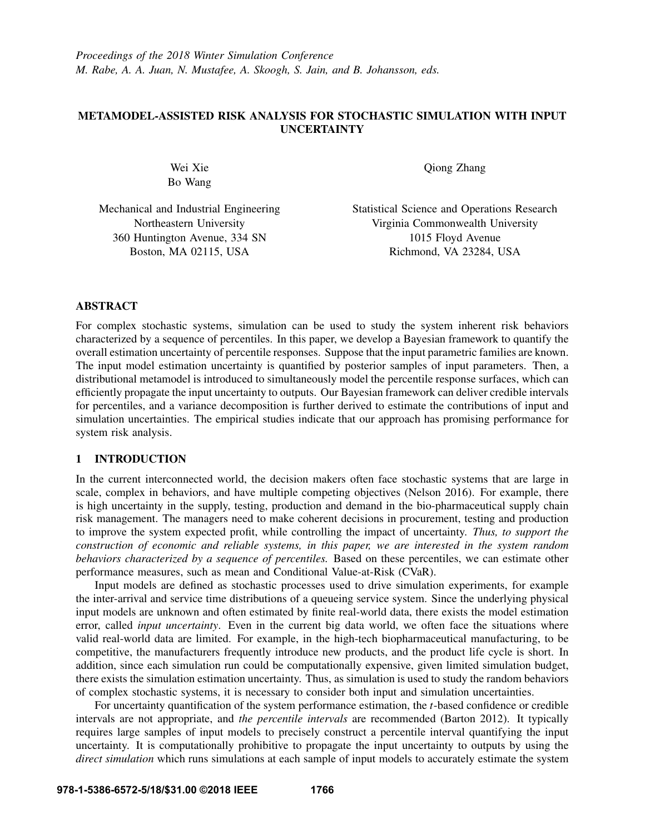# METAMODEL-ASSISTED RISK ANALYSIS FOR STOCHASTIC SIMULATION WITH INPUT UNCERTAINTY

Wei Xie Bo Wang Qiong Zhang

Mechanical and Industrial Engineering Northeastern University 360 Huntington Avenue, 334 SN Boston, MA 02115, USA

Statistical Science and Operations Research Virginia Commonwealth University 1015 Floyd Avenue Richmond, VA 23284, USA

## ABSTRACT

For complex stochastic systems, simulation can be used to study the system inherent risk behaviors characterized by a sequence of percentiles. In this paper, we develop a Bayesian framework to quantify the overall estimation uncertainty of percentile responses. Suppose that the input parametric families are known. The input model estimation uncertainty is quantified by posterior samples of input parameters. Then, a distributional metamodel is introduced to simultaneously model the percentile response surfaces, which can efficiently propagate the input uncertainty to outputs. Our Bayesian framework can deliver credible intervals for percentiles, and a variance decomposition is further derived to estimate the contributions of input and simulation uncertainties. The empirical studies indicate that our approach has promising performance for system risk analysis.

# 1 INTRODUCTION

In the current interconnected world, the decision makers often face stochastic systems that are large in scale, complex in behaviors, and have multiple competing objectives (Nelson 2016). For example, there is high uncertainty in the supply, testing, production and demand in the bio-pharmaceutical supply chain risk management. The managers need to make coherent decisions in procurement, testing and production to improve the system expected profit, while controlling the impact of uncertainty. *Thus, to support the construction of economic and reliable systems, in this paper, we are interested in the system random behaviors characterized by a sequence of percentiles.* Based on these percentiles, we can estimate other performance measures, such as mean and Conditional Value-at-Risk (CVaR).

Input models are defined as stochastic processes used to drive simulation experiments, for example the inter-arrival and service time distributions of a queueing service system. Since the underlying physical input models are unknown and often estimated by finite real-world data, there exists the model estimation error, called *input uncertainty*. Even in the current big data world, we often face the situations where valid real-world data are limited. For example, in the high-tech biopharmaceutical manufacturing, to be competitive, the manufacturers frequently introduce new products, and the product life cycle is short. In addition, since each simulation run could be computationally expensive, given limited simulation budget, there exists the simulation estimation uncertainty. Thus, as simulation is used to study the random behaviors of complex stochastic systems, it is necessary to consider both input and simulation uncertainties.

For uncertainty quantification of the system performance estimation, the *t*-based confidence or credible intervals are not appropriate, and *the percentile intervals* are recommended (Barton 2012). It typically requires large samples of input models to precisely construct a percentile interval quantifying the input uncertainty. It is computationally prohibitive to propagate the input uncertainty to outputs by using the *direct simulation* which runs simulations at each sample of input models to accurately estimate the system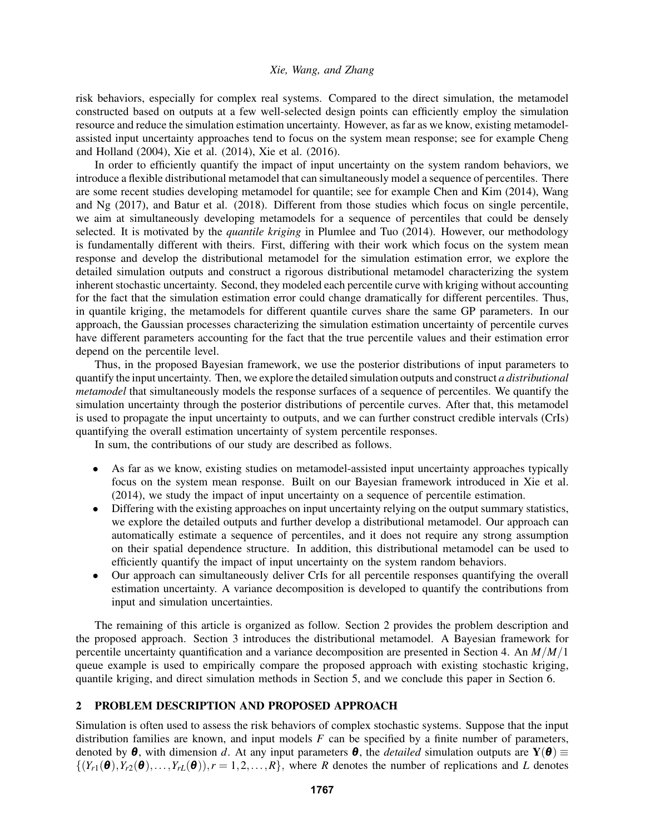risk behaviors, especially for complex real systems. Compared to the direct simulation, the metamodel constructed based on outputs at a few well-selected design points can efficiently employ the simulation resource and reduce the simulation estimation uncertainty. However, as far as we know, existing metamodelassisted input uncertainty approaches tend to focus on the system mean response; see for example Cheng and Holland (2004), Xie et al. (2014), Xie et al. (2016).

In order to efficiently quantify the impact of input uncertainty on the system random behaviors, we introduce a flexible distributional metamodel that can simultaneously model a sequence of percentiles. There are some recent studies developing metamodel for quantile; see for example Chen and Kim (2014), Wang and Ng (2017), and Batur et al. (2018). Different from those studies which focus on single percentile, we aim at simultaneously developing metamodels for a sequence of percentiles that could be densely selected. It is motivated by the *quantile kriging* in Plumlee and Tuo (2014). However, our methodology is fundamentally different with theirs. First, differing with their work which focus on the system mean response and develop the distributional metamodel for the simulation estimation error, we explore the detailed simulation outputs and construct a rigorous distributional metamodel characterizing the system inherent stochastic uncertainty. Second, they modeled each percentile curve with kriging without accounting for the fact that the simulation estimation error could change dramatically for different percentiles. Thus, in quantile kriging, the metamodels for different quantile curves share the same GP parameters. In our approach, the Gaussian processes characterizing the simulation estimation uncertainty of percentile curves have different parameters accounting for the fact that the true percentile values and their estimation error depend on the percentile level.

Thus, in the proposed Bayesian framework, we use the posterior distributions of input parameters to quantify the input uncertainty. Then, we explore the detailed simulation outputs and construct *a distributional metamodel* that simultaneously models the response surfaces of a sequence of percentiles. We quantify the simulation uncertainty through the posterior distributions of percentile curves. After that, this metamodel is used to propagate the input uncertainty to outputs, and we can further construct credible intervals (CrIs) quantifying the overall estimation uncertainty of system percentile responses.

In sum, the contributions of our study are described as follows.

- As far as we know, existing studies on metamodel-assisted input uncertainty approaches typically focus on the system mean response. Built on our Bayesian framework introduced in Xie et al. (2014), we study the impact of input uncertainty on a sequence of percentile estimation.
- Differing with the existing approaches on input uncertainty relying on the output summary statistics, we explore the detailed outputs and further develop a distributional metamodel. Our approach can automatically estimate a sequence of percentiles, and it does not require any strong assumption on their spatial dependence structure. In addition, this distributional metamodel can be used to efficiently quantify the impact of input uncertainty on the system random behaviors.
- Our approach can simultaneously deliver CrIs for all percentile responses quantifying the overall estimation uncertainty. A variance decomposition is developed to quantify the contributions from input and simulation uncertainties.

The remaining of this article is organized as follow. Section 2 provides the problem description and the proposed approach. Section 3 introduces the distributional metamodel. A Bayesian framework for percentile uncertainty quantification and a variance decomposition are presented in Section 4. An *M*/*M*/1 queue example is used to empirically compare the proposed approach with existing stochastic kriging, quantile kriging, and direct simulation methods in Section 5, and we conclude this paper in Section 6.

# 2 PROBLEM DESCRIPTION AND PROPOSED APPROACH

Simulation is often used to assess the risk behaviors of complex stochastic systems. Suppose that the input distribution families are known, and input models *F* can be specified by a finite number of parameters, denoted by  $\theta$ , with dimension *d*. At any input parameters  $\theta$ , the *detailed* simulation outputs are  $Y(\theta) \equiv$  $\{(Y_{r1}(\boldsymbol{\theta}), Y_{r2}(\boldsymbol{\theta}), \ldots, Y_{rL}(\boldsymbol{\theta})), r = 1, 2, \ldots, R\}$ , where *R* denotes the number of replications and *L* denotes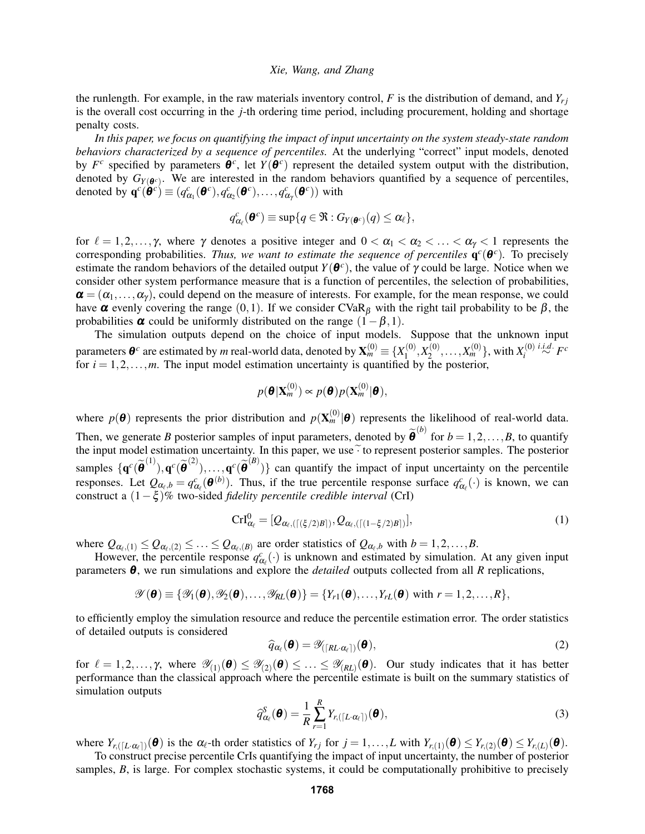the runlength. For example, in the raw materials inventory control,  $F$  is the distribution of demand, and  $Y_{ri}$ is the overall cost occurring in the *j*-th ordering time period, including procurement, holding and shortage penalty costs.

*In this paper, we focus on quantifying the impact of input uncertainty on the system steady-state random behaviors characterized by a sequence of percentiles.* At the underlying "correct" input models, denoted by  $F^c$  specified by parameters  $\theta^c$ , let  $Y(\theta^c)$  represent the detailed system output with the distribution, denoted by  $G_{Y(\theta^c)}$ . We are interested in the random behaviors quantified by a sequence of percentiles, denoted by  $\mathbf{q}^c(\mathbf{\theta}^c) \equiv (q^c_{\alpha_1}(\mathbf{\theta}^c), q^c_{\alpha_2}(\mathbf{\theta}^c), \dots, q^c_{\alpha_\gamma}(\mathbf{\theta}^c))$  with

$$
q_{\alpha_{\ell}}^{c}(\boldsymbol{\theta}^{c}) \equiv \sup\{q \in \mathfrak{R} : G_{Y(\boldsymbol{\theta}^{c})}(q) \leq \alpha_{\ell}\},
$$

for  $\ell = 1,2,\ldots,\gamma$ , where  $\gamma$  denotes a positive integer and  $0 < \alpha_1 < \alpha_2 < \ldots < \alpha_{\gamma} < 1$  represents the corresponding probabilities. Thus, we want to estimate the sequence of percentiles  $q^c(\theta^c)$ . To precisely estimate the random behaviors of the detailed output  $Y(\theta^c)$ , the value of  $\gamma$  could be large. Notice when we consider other system performance measure that is a function of percentiles, the selection of probabilities,  $\alpha = (\alpha_1, \dots, \alpha_\gamma)$ , could depend on the measure of interests. For example, for the mean response, we could have  $\alpha$  evenly covering the range (0,1). If we consider CVaR<sub>β</sub> with the right tail probability to be  $\beta$ , the probabilities  $\alpha$  could be uniformly distributed on the range  $(1-\beta,1)$ .

The simulation outputs depend on the choice of input models. Suppose that the unknown input parameters  $\boldsymbol{\theta}^c$  are estimated by  $m$  real-world data, denoted by  $\mathbf{X}_m^{(0)}\equiv\{X_1^{(0)}\}$  $\binom{(0)}{1}, X_2^{(0)}$  $\{X_2^{(0)}, \ldots, X_m^{(0)}\}$ , with  $X_i^{(0)}$ *i <sup>i</sup>*.*i*.*d*. ∼ *F c* for  $i = 1, 2, \ldots, m$ . The input model estimation uncertainty is quantified by the posterior,

$$
p(\boldsymbol{\theta}|\mathbf{X}_m^{(0)}) \propto p(\boldsymbol{\theta})p(\mathbf{X}_m^{(0)}|\boldsymbol{\theta}),
$$

where  $p(\theta)$  represents the prior distribution and  $p(\mathbf{X}_m^{(0)}|\theta)$  represents the likelihood of real-world data. Then, we generate *B* posterior samples of input parameters, denoted by  $\tilde{\boldsymbol{\theta}}^{(b)}$  for  $b = 1, 2, ..., B$ , to quantify the input model estimation uncertainty. In this paper, we use  $\widetilde{\cdot}$  to represent posterior samples. The posterior samples  $\{q^c(\tilde{\theta}^{(1)}), q^c(\tilde{\theta}^{(2)}),..., q^c(\tilde{\theta}^{(B)})\}$  can quantify the impact of input uncertainty on the percentile responses. Let  $Q_{\alpha_\ell,b} = q_{\alpha_\ell}^c(\boldsymbol{\theta}^{(b)})$ . Thus, if the true percentile response surface  $q_{\alpha_\ell}^c(\cdot)$  is known, we can construct a (1−ξ )% two-sided *fidelity percentile credible interval* (CrI)

$$
\operatorname{Crl}_{\alpha_{\ell}}^0 = [\mathcal{Q}_{\alpha_{\ell},(\lceil (\xi/2)B \rceil)}, \mathcal{Q}_{\alpha_{\ell},(\lceil (1-\xi/2)B \rceil)}], \tag{1}
$$

where  $Q_{\alpha_{\ell},(1)} \leq Q_{\alpha_{\ell},(2)} \leq \ldots \leq Q_{\alpha_{\ell},(B)}$  are order statistics of  $Q_{\alpha_{\ell},b}$  with  $b = 1,2,\ldots,B$ .

However, the percentile response  $q_{\alpha}^c(\cdot)$  is unknown and estimated by simulation. At any given input parameters  $\theta$ , we run simulations and explore the *detailed* outputs collected from all *R* replications,

$$
\mathscr{Y}(\boldsymbol{\theta}) \equiv \{\mathscr{Y}_1(\boldsymbol{\theta}), \mathscr{Y}_2(\boldsymbol{\theta}), \ldots, \mathscr{Y}_{RL}(\boldsymbol{\theta})\} = \{Y_{r1}(\boldsymbol{\theta}), \ldots, Y_{rL}(\boldsymbol{\theta}) \text{ with } r = 1, 2, \ldots, R\},\
$$

to efficiently employ the simulation resource and reduce the percentile estimation error. The order statistics of detailed outputs is considered

$$
\widehat{q}_{\alpha_{\ell}}(\boldsymbol{\theta}) = \mathscr{Y}_{\left(\lceil R L \cdot \alpha_{\ell} \rceil\right)}(\boldsymbol{\theta}),\tag{2}
$$

for  $\ell = 1,2,\ldots,\gamma$ , where  $\mathscr{Y}_{(1)}(\mathbf{\Theta}) \leq \mathscr{Y}_{(2)}(\mathbf{\Theta}) \leq \ldots \leq \mathscr{Y}_{(RL)}(\mathbf{\Theta})$ . Our study indicates that it has better performance than the classical approach where the percentile estimate is built on the summary statistics of simulation outputs

$$
\widehat{q}_{\alpha_{\ell}}^{S}(\boldsymbol{\theta}) = \frac{1}{R} \sum_{r=1}^{R} Y_{r,([L \cdot \alpha_{\ell}])}(\boldsymbol{\theta}), \tag{3}
$$

where  $Y_{r,(L \cap \{L \cap \mathcal{A}_\ell\}}(\mathbf{\Theta})$  is the  $\alpha_\ell$ -th order statistics of  $Y_{rj}$  for  $j = 1,\ldots,L$  with  $Y_{r,(1)}(\mathbf{\Theta}) \leq Y_{r,(2)}(\mathbf{\Theta}) \leq Y_{r,(L)}(\mathbf{\Theta})$ .

To construct precise percentile CrIs quantifying the impact of input uncertainty, the number of posterior samples, *B*, is large. For complex stochastic systems, it could be computationally prohibitive to precisely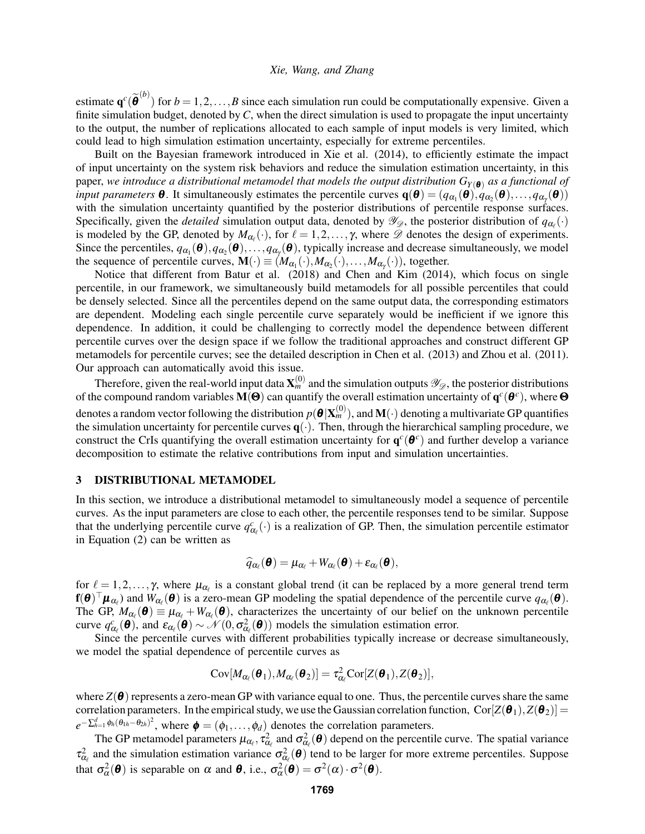estimate  $\mathbf{q}^c(\widetilde{\boldsymbol{\theta}}^{(b)})$  for  $b = 1, 2, ..., B$  since each simulation run could be computationally expensive. Given a finite simulation budget, denoted by *C*, when the direct simulation is used to propagate the input uncertainty to the output, the number of replications allocated to each sample of input models is very limited, which could lead to high simulation estimation uncertainty, especially for extreme percentiles.

Built on the Bayesian framework introduced in Xie et al. (2014), to efficiently estimate the impact of input uncertainty on the system risk behaviors and reduce the simulation estimation uncertainty, in this paper, *we introduce a distributional metamodel that models the output distribution*  $G_{Y(\theta)}$  *as a functional of input parameters* **θ**. It simultaneously estimates the percentile curves  $q(\theta) = (q_{\alpha_1}(\theta), q_{\alpha_2}(\theta), \dots, q_{\alpha_\gamma}(\theta))$ with the simulation uncertainty quantified by the posterior distributions of percentile response surfaces. Specifically, given the *detailed* simulation output data, denoted by  $\mathcal{Y}_{\mathcal{D}}$ , the posterior distribution of  $q_{\alpha_{\ell}}(\cdot)$ is modeled by the GP, denoted by  $M_{\alpha_{\ell}}(\cdot)$ , for  $\ell = 1, 2, ..., \gamma$ , where  $\mathscr D$  denotes the design of experiments. Since the percentiles,  $q_{\alpha_1}(\theta), q_{\alpha_2}(\theta), \ldots, q_{\alpha_\gamma}(\theta)$ , typically increase and decrease simultaneously, we model the sequence of percentile curves,  $\mathbf{M}(\cdot) \equiv (M_{\alpha_1}(\cdot), M_{\alpha_2}(\cdot), \dots, M_{\alpha_{\gamma}}(\cdot)),$  together.

Notice that different from Batur et al. (2018) and Chen and Kim (2014), which focus on single percentile, in our framework, we simultaneously build metamodels for all possible percentiles that could be densely selected. Since all the percentiles depend on the same output data, the corresponding estimators are dependent. Modeling each single percentile curve separately would be inefficient if we ignore this dependence. In addition, it could be challenging to correctly model the dependence between different percentile curves over the design space if we follow the traditional approaches and construct different GP metamodels for percentile curves; see the detailed description in Chen et al. (2013) and Zhou et al. (2011). Our approach can automatically avoid this issue.

Therefore, given the real-world input data  $X_m^{(0)}$  and the simulation outputs  $\mathscr{Y}_{\mathscr{D}}$ , the posterior distributions of the compound random variables  $M(\Theta)$  can quantify the overall estimation uncertainty of  $q^c(\theta^c)$ , where  $\Theta$ denotes a random vector following the distribution  $p(\bm{\theta}|\mathbf{X}_m^{(0)}),$  and  $\mathbf{M}(\cdot)$  denoting a multivariate GP quantifies the simulation uncertainty for percentile curves  $q(.)$ . Then, through the hierarchical sampling procedure, we construct the CrIs quantifying the overall estimation uncertainty for  $q^c(\theta^c)$  and further develop a variance decomposition to estimate the relative contributions from input and simulation uncertainties.

#### 3 DISTRIBUTIONAL METAMODEL

In this section, we introduce a distributional metamodel to simultaneously model a sequence of percentile curves. As the input parameters are close to each other, the percentile responses tend to be similar. Suppose that the underlying percentile curve  $q_{\alpha_\ell}^c(\cdot)$  is a realization of GP. Then, the simulation percentile estimator in Equation (2) can be written as

$$
\widehat{q}_{\alpha_{\ell}}(\boldsymbol{\theta}) = \mu_{\alpha_{\ell}} + W_{\alpha_{\ell}}(\boldsymbol{\theta}) + \varepsilon_{\alpha_{\ell}}(\boldsymbol{\theta}),
$$

for  $\ell = 1,2,\ldots,\gamma$ , where  $\mu_{\alpha_{\ell}}$  is a constant global trend (it can be replaced by a more general trend term  $f(\theta)^\top \mu_{\alpha_\ell}$  and  $W_{\alpha_\ell}(\theta)$  is a zero-mean GP modeling the spatial dependence of the percentile curve  $q_{\alpha_\ell}(\theta)$ . The GP,  $M_{\alpha_{\ell}}(\mathbf{\theta}) \equiv \mu_{\alpha_{\ell}} + W_{\alpha_{\ell}}(\mathbf{\theta})$ , characterizes the uncertainty of our belief on the unknown percentile curve  $q_{\alpha_\ell}^c(\boldsymbol{\theta})$ , and  $\varepsilon_{\alpha_\ell}(\boldsymbol{\theta}) \sim \mathcal{N}(0, \sigma_{\alpha_\ell}^2(\boldsymbol{\theta}))$  models the simulation estimation error.

Since the percentile curves with different probabilities typically increase or decrease simultaneously, we model the spatial dependence of percentile curves as

$$
Cov[M_{\alpha_{\ell}}(\boldsymbol{\theta}_1), M_{\alpha_{\ell}}(\boldsymbol{\theta}_2)] = \tau_{\alpha_{\ell}}^2 Cov[Z(\boldsymbol{\theta}_1), Z(\boldsymbol{\theta}_2)],
$$

where  $Z(\theta)$  represents a zero-mean GP with variance equal to one. Thus, the percentile curves share the same correlation parameters. In the empirical study, we use the Gaussian correlation function,  $\text{Cor}[Z(\theta_1), Z(\theta_2)] =$  $e^{-\sum_{h=1}^d \phi_h(\theta_{1h}-\theta_{2h})^2}$ , where  $\boldsymbol{\phi} = (\phi_1,\ldots,\phi_d)$  denotes the correlation parameters.

The GP metamodel parameters  $\mu_{\alpha_\ell}, \tau_{\alpha_\ell}^2$  and  $\sigma_{\alpha_\ell}^2(\theta)$  depend on the percentile curve. The spatial variance  $\tau_{\alpha_\ell}^2$  and the simulation estimation variance  $\sigma_{\alpha_\ell}^2(\theta)$  tend to be larger for more extreme percentiles. Suppose that  $\sigma_{\alpha}^2(\boldsymbol{\theta})$  is separable on  $\alpha$  and  $\boldsymbol{\theta}$ , i.e.,  $\sigma_{\alpha}^2(\boldsymbol{\theta}) = \sigma^2(\alpha) \cdot \sigma^2(\boldsymbol{\theta})$ .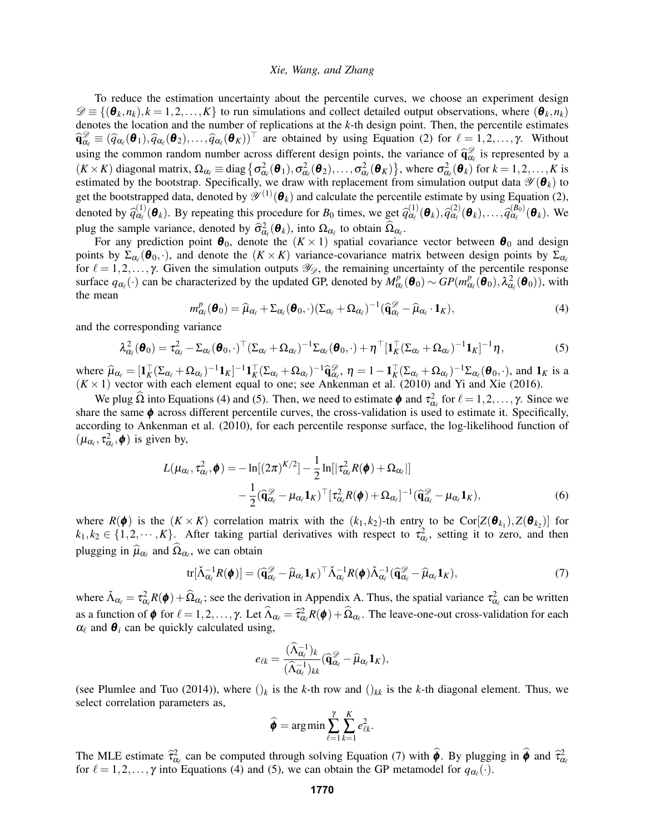To reduce the estimation uncertainty about the percentile curves, we choose an experiment design  $\mathscr{D} \equiv \{(\boldsymbol{\theta}_k, n_k), k = 1, 2, \ldots, K\}$  to run simulations and collect detailed output observations, where  $(\boldsymbol{\theta}_k, n_k)$ denotes the location and the number of replications at the *k*-th design point. Then, the percentile estimates  $\hat{\mathbf{q}}_{\alpha_\ell}^{\mathcal{D}} \equiv (\hat{q}_{\alpha_\ell}(\boldsymbol{\theta}_1), \hat{q}_{\alpha_\ell}(\boldsymbol{\theta}_2), \dots, \hat{q}_{\alpha_\ell}(\boldsymbol{\theta}_K))^{\top}$  are obtained by using Equation (2) for  $\ell = 1, 2, \dots, \gamma$ . Without using the common random number across different design points, the variance of  $\hat{q}_{\alpha_i}^{\sigma}$  is represented by a<br> $(K, K)$  discovered water  $Q = \text{diag}(q) \cdot \hat{q}^2$  $(K \times K)$  diagonal matrix,  $\Omega_{\alpha_{\ell}} \equiv \text{diag} \{ \sigma_{\alpha_{\ell}}^2(\boldsymbol{\theta}_1), \sigma_{\alpha_{\ell}}^2(\boldsymbol{\theta}_2), \dots, \sigma_{\alpha_{\ell}}^2(\boldsymbol{\theta}_K) \}$ , where  $\sigma_{\alpha_{\ell}}^2(\boldsymbol{\theta}_k)$  for  $k = 1, 2, \dots, K$  is estimated by the bootstrap. Specifically, we draw with replacement from simulation output data  $\mathscr{Y}(\theta_k)$  to get the bootstrapped data, denoted by  $\mathscr{Y}^{(1)}(\theta_k)$  and calculate the percentile estimate by using Equation (2), denoted by  $\widehat{q}_{\alpha_\ell}^{(1)}$  $\alpha_{\ell}^{(1)}(\boldsymbol{\theta}_k)$ . By repeating this procedure for *B*<sub>0</sub> times, we get  $\hat{q}_{\alpha_{\ell}}^{(1)}$  $\overset{(1)}{\alpha_{\ell}}(\boldsymbol{\theta}_k), \overset{(2)}{q} \overset{(2)}{\alpha_{\ell}}$  $\hat{q}_{\alpha_{\ell}}^{(2)}(\boldsymbol{\theta}_k), \ldots, \hat{q}_{\alpha_{\ell}}^{(B_0)}(\boldsymbol{\theta}_k)$ . We plug the sample variance, denoted by  $\hat{\sigma}_{\alpha_{\ell}}^2(\boldsymbol{\theta}_k)$ , into  $\Omega_{\alpha_{\ell}}$  to obtain  $\hat{\Omega}_{\alpha_{\ell}}$ .<br>For any prodiction point  $\boldsymbol{\theta}_{\alpha_{\ell}}$  denote the  $(K \times 1)$  enotial covariance

For any prediction point  $\theta_0$ , denote the  $(K \times 1)$  spatial covariance vector between  $\theta_0$  and design points by  $\Sigma_{\alpha_{\ell}}(\theta_0,\cdot)$ , and denote the  $(K\times K)$  variance-covariance matrix between design points by  $\Sigma_{\alpha_{\ell}}$ for  $\ell = 1,2,\ldots, \gamma$ . Given the simulation outputs  $\mathscr{Y}_{\mathscr{D}}$ , the remaining uncertainty of the percentile response surface  $q_{\alpha_{\ell}}(\cdot)$  can be characterized by the updated GP, denoted by  $M_{\alpha}^p$  $G_{\alpha_{\ell}}^p(\boldsymbol{\theta}_0) \sim GP(m_{\alpha}^p)$  $_{\alpha_{\ell}}^{p}(\boldsymbol{\theta}_{0}),\lambda_{\alpha_{\ell}}^{2}(\boldsymbol{\theta}_{0})),$  with the mean

$$
m_{\alpha_{\ell}}^p(\boldsymbol{\theta}_0) = \widehat{\mu}_{\alpha_{\ell}} + \Sigma_{\alpha_{\ell}}(\boldsymbol{\theta}_0, \cdot) (\Sigma_{\alpha_{\ell}} + \Omega_{\alpha_{\ell}})^{-1} (\widehat{\mathbf{q}}_{\alpha_{\ell}}^{\mathscr{D}} - \widehat{\mu}_{\alpha_{\ell}} \cdot \mathbf{1}_K),
$$
\n(4)

and the corresponding variance

$$
\lambda_{\alpha_{\ell}}^2(\boldsymbol{\theta}_0) = \tau_{\alpha_{\ell}}^2 - \Sigma_{\alpha_{\ell}}(\boldsymbol{\theta}_0, \cdot)^{\top} (\Sigma_{\alpha_{\ell}} + \Omega_{\alpha_{\ell}})^{-1} \Sigma_{\alpha_{\ell}}(\boldsymbol{\theta}_0, \cdot) + \eta^{\top} [\mathbf{1}_K^{\top} (\Sigma_{\alpha_{\ell}} + \Omega_{\alpha_{\ell}})^{-1} \mathbf{1}_K]^{-1} \eta,
$$
(5)

where  $\hat{\mu}_{\alpha_\ell} = [\mathbf{1}_K^\top (\Sigma_{\alpha_\ell} + \Omega_{\alpha_\ell})^{-1} \mathbf{1}_K^\top]^{-1} \mathbf{1}_K^\top (\Sigma_{\alpha_\ell} + \Omega_{\alpha_\ell})^{-1} \hat{\mathbf{q}}_{\alpha_\ell}^{\varnothing}, \eta = 1 - \mathbf{1}_K^\top (\Sigma_{\alpha_\ell} + \Omega_{\alpha_\ell})^{-1} \Sigma_{\alpha_\ell}(\boldsymbol{\theta}_0, \cdot),$  and  $\mathbf{1}_K$  is a  $(K \times 1)$  vector with each element equa  $(K \times 1)$  vector with each element equal to one; see Ankenman et al. (2010) and Yi and Xie (2016).

We plug  $\Omega$  into Equations (4) and (5). Then, we need to estimate  $\phi$  and  $\tau_{\alpha_\ell}^2$  for  $\ell = 1, 2, ..., \gamma$ . Since we share the same  $\phi$  across different percentile curves, the cross-validation is used to estimate it. Specifically, according to Ankenman et al. (2010), for each percentile response surface, the log-likelihood function of  $(\mu_{\alpha_\ell}, \tau_{\alpha_\ell}^2, \phi)$  is given by,

$$
L(\mu_{\alpha_{\ell}}, \tau_{\alpha_{\ell}}^2, \boldsymbol{\phi}) = -\ln[(2\pi)^{K/2}] - \frac{1}{2}\ln[|\tau_{\alpha_{\ell}}^2 R(\boldsymbol{\phi}) + \Omega_{\alpha_{\ell}}|] -\frac{1}{2}(\widehat{\mathbf{q}}_{\alpha_{\ell}}^{\mathscr{D}} - \mu_{\alpha_{\ell}}\mathbf{1}_K)^{\top}[\tau_{\alpha_{\ell}}^2 R(\boldsymbol{\phi}) + \Omega_{\alpha_{\ell}}]^{-1}(\widehat{\mathbf{q}}_{\alpha_{\ell}}^{\mathscr{D}} - \mu_{\alpha_{\ell}}\mathbf{1}_K),
$$
(6)

where  $R(\phi)$  is the  $(K \times K)$  correlation matrix with the  $(k_1, k_2)$ -th entry to be Cor $[Z(\theta_{k_1}), Z(\theta_{k_2})]$  for  $k_1, k_2 \in \{1, 2, \dots, K\}$ . After taking partial derivatives with respect to  $\tau_{\alpha_\ell}^2$ , setting it to zero, and then plugging in  $\widehat{\mu}_{\alpha_\ell}$  and  $\Omega_{\alpha_\ell}$ , we can obtain

$$
\text{tr}[\check{\Lambda}_{\alpha_{\ell}}^{-1}R(\pmb{\phi})] = (\widehat{\mathbf{q}}_{\alpha_{\ell}}^{\mathscr{D}} - \widehat{\mu}_{\alpha_{\ell}}\mathbf{1}_{K})^{\top}\check{\Lambda}_{\alpha_{\ell}}^{-1}R(\pmb{\phi})\check{\Lambda}_{\alpha_{\ell}}^{-1}(\widehat{\mathbf{q}}_{\alpha_{\ell}}^{\mathscr{D}} - \widehat{\mu}_{\alpha_{\ell}}\mathbf{1}_{K}),
$$
(7)

where  $\tilde{\Lambda}_{\alpha_\ell} = \tau_{\alpha_\ell}^2 R(\phi) + \widehat{\Omega}_{\alpha_\ell}$ ; see the derivation in Appendix A. Thus, the spatial variance  $\tau_{\alpha_\ell}^2$  can be written as a function of  $\phi$  for  $\ell = 1, 2, ..., \gamma$ . Let  $\widehat{\Lambda}_{\alpha_{\ell}} = \widehat{\tau}_{\alpha_{\ell}}^2 R(\phi) + \widehat{\Omega}_{\alpha_{\ell}}$ . The leave-one-out cross-validation for each  $\alpha$ , and  $\theta$  can be quickly calculated using  $\alpha_{\ell}$  and  $\theta_i$  can be quickly calculated using,

$$
e_{\ell k} = \frac{(\widehat{\Lambda}_{\alpha_{\ell}}^{-1})_k}{(\widehat{\Lambda}_{\alpha_{\ell}}^{-1})_{kk}} (\widehat{\mathbf{q}}_{\alpha_{\ell}}^{\mathscr{D}} - \widehat{\mu}_{\alpha_{\ell}} \mathbf{1}_K),
$$

(see Plumlee and Tuo (2014)), where  $\left(\right)_{k}$  is the *k*-th row and  $\left(\right)_{kk}$  is the *k*-th diagonal element. Thus, we select correlation parameters as,

$$
\widehat{\boldsymbol{\phi}} = \arg \min \sum_{\ell=1}^{\gamma} \sum_{k=1}^{K} e_{\ell k}^2.
$$

The MLE estimate  $\hat{\tau}_{\alpha_\ell}^2$  can be computed through solving Equation (7) with  $\hat{\phi}$ . By plugging in  $\hat{\phi}$  and  $\hat{\tau}_{\alpha_\ell}^2$ <br>for  $\ell = 1, 2, \ldots$  with Equations (4) and (5), we can obtain the GP matemodel for  $\alpha$  ( for  $\ell = 1, 2, \ldots, \gamma$  into Equations (4) and (5), we can obtain the GP metamodel for  $q_{\alpha_{\ell}}(\cdot)$ .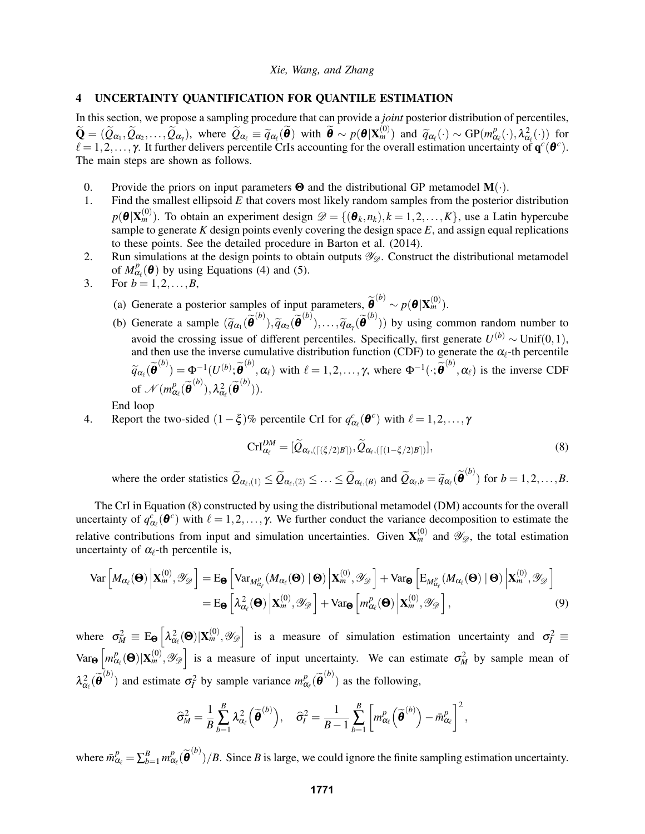# 4 UNCERTAINTY QUANTIFICATION FOR QUANTILE ESTIMATION

In this section, we propose a sampling procedure that can provide a *joint* posterior distribution of percentiles,  $\widetilde{\mathbf{Q}} = (\widetilde{\mathcal{Q}}_{\alpha_1}, \widetilde{\mathcal{Q}}_{\alpha_2}, \dots, \widetilde{\mathcal{Q}}_{\alpha_\gamma})$ , where  $\widetilde{\mathcal{Q}}_{\alpha_\ell} \equiv \widetilde{q}_{\alpha_\ell}(\widetilde{\boldsymbol{\theta}})$  with  $\widetilde{\boldsymbol{\theta}} \sim p(\boldsymbol{\theta} | \mathbf{X}_m^{(0)})$  and  $\widetilde{q}_{\alpha_\ell}(\cdot) \sim GP(m_\alpha^p)$  $P^p_{\alpha_\ell}(\cdot),\lambda^2_{\alpha_\ell}(\cdot))$  for  $\ell = 1, 2, \ldots, \gamma$ . It further delivers percentile CrIs accounting for the overall estimation uncertainty of  $q^c(\theta^c)$ . The main steps are shown as follows.

- 0. Provide the priors on input parameters  $\Theta$  and the distributional GP metamodel  $\mathbf{M}(\cdot)$ .
- 1. Find the smallest ellipsoid *E* that covers most likely random samples from the posterior distribution  $p(\boldsymbol{\theta} | \mathbf{X}_m^{(0)})$ . To obtain an experiment design  $\mathscr{D} = \{(\boldsymbol{\theta}_k, n_k), k = 1, 2, ..., K\}$ , use a Latin hypercube sample to generate *K* design points evenly covering the design space  $E$ , and assign equal replications to these points. See the detailed procedure in Barton et al. (2014).
- 2. Run simulations at the design points to obtain outputs  $\mathscr{Y}_{\mathscr{D}}$ . Construct the distributional metamodel of  $M_{\alpha}^p$  $C_{\alpha_{\ell}}^p(\boldsymbol{\theta})$  by using Equations (4) and (5).
- 3. For  $b = 1, 2, ..., B$ ,
	- (a) Generate a posterior samples of input parameters,  $\widetilde{\boldsymbol{\theta}}^{(b)} \sim p(\boldsymbol{\theta} | \mathbf{X}_m^{(0)})$ .
	- (b) Generate a sample  $(\tilde{q}_{\alpha_1}(\tilde{\boldsymbol{\theta}}^{(b)}), \tilde{q}_{\alpha_2}(\tilde{\boldsymbol{\theta}}^{(b)}),..., \tilde{q}_{\alpha_y}(\tilde{\boldsymbol{\theta}}^{(b)}))$  by using common random number to avoid the crossing issue of different percentiles. Specifically, first generate  $U^{(b)} \sim \text{Unif}(0,1)$ , and then use the inverse cumulative distribution function (CDF) to generate the  $\alpha_{\ell}$ -th percentile  $\widetilde{q}_{\alpha_{\ell}}(\widetilde{\boldsymbol{\theta}}^{(b)}) = \Phi^{-1}(U^{(b)}; \widetilde{\boldsymbol{\theta}}^{(b)}, \alpha_{\ell})$  with  $\ell = 1, 2, ..., \gamma$ , where  $\Phi^{-1}(\cdot; \widetilde{\boldsymbol{\theta}}^{(b)}, \alpha_{\ell})$  is the inverse CDF of  $\mathcal{N}(m_{\alpha}^p)$  $R^p_{\alpha_\ell}(\widetilde{\boldsymbol \theta}^{(b)}),\lambda^2_{\alpha_\ell}(\widetilde{\boldsymbol \theta}^{(b)})).$

End loop

4. Report the two-sided  $(1 - \xi)\%$  percentile CrI for  $q_{\alpha_\ell}^c(\theta^c)$  with  $\ell = 1, 2, ..., \gamma$ 

$$
\text{CrI}_{\alpha_{\ell}}^{DM} = [\widetilde{Q}_{\alpha_{\ell},(\lceil(\xi/2)B\rceil)}, \widetilde{Q}_{\alpha_{\ell},(\lceil(1-\xi/2)B\rceil)}],\tag{8}
$$

where the order statistics  $\widetilde{Q}_{\alpha_{\ell},(1)} \leq \widetilde{Q}_{\alpha_{\ell},(2)} \leq \ldots \leq \widetilde{Q}_{\alpha_{\ell},(B)}$  and  $\widetilde{Q}_{\alpha_{\ell},b} = \widetilde{q}_{\alpha_{\ell}}(\widetilde{\boldsymbol{\theta}}^{(b)})$  for  $b = 1,2,\ldots,B$ .

The CrI in Equation (8) constructed by using the distributional metamodel (DM) accounts for the overall uncertainty of  $q_{\alpha_\ell}^c(\theta^c)$  with  $\ell = 1, 2, ..., \gamma$ . We further conduct the variance decomposition to estimate the relative contributions from input and simulation uncertainties. Given  $X_m^{(0)}$  and  $\mathscr{Y}_{\mathscr{D}}$ , the total estimation uncertainty of  $\alpha_{\ell}$ -th percentile is,

$$
\operatorname{Var}\left[M_{\alpha_{\ell}}(\boldsymbol{\Theta})\left|\mathbf{X}_{m}^{(0)},\mathscr{Y}_{\mathscr{D}}\right.\right]=\operatorname{E}_{\boldsymbol{\Theta}}\left[\operatorname{Var}_{M_{\alpha_{\ell}}^{p}}(M_{\alpha_{\ell}}(\boldsymbol{\Theta})\mid\boldsymbol{\Theta})\left|\mathbf{X}_{m}^{(0)},\mathscr{Y}_{\mathscr{D}}\right.\right]+\operatorname{Var}_{\boldsymbol{\Theta}}\left[\operatorname{E}_{M_{\alpha_{\ell}}^{p}}(M_{\alpha_{\ell}}(\boldsymbol{\Theta})\mid\boldsymbol{\Theta})\left|\mathbf{X}_{m}^{(0)},\mathscr{Y}_{\mathscr{D}}\right.\right]
$$
\n
$$
=\operatorname{E}_{\boldsymbol{\Theta}}\left[\lambda_{\alpha_{\ell}}^{2}(\boldsymbol{\Theta})\left|\mathbf{X}_{m}^{(0)},\mathscr{Y}_{\mathscr{D}}\right.\right]+\operatorname{Var}_{\boldsymbol{\Theta}}\left[m_{\alpha_{\ell}}^{p}(\boldsymbol{\Theta})\left|\mathbf{X}_{m}^{(0)},\mathscr{Y}_{\mathscr{D}}\right.\right],\tag{9}
$$

where  $\sigma_M^2 \equiv E_{\Theta} \left[ \lambda_{\alpha_\ell}^2(\Theta) | X_m^{(0)}, \mathcal{Y}_{\mathcal{D}} \right]$  is a measure of simulation estimation uncertainty and  $\sigma_I^2 \equiv$ Var<sub>Θ</sub>  $\left[ m^p_α \right]$  $\left[\alpha_{\alpha}^{(0)}(0),\alpha_{\alpha}^{(0)},\gamma_{\alpha}\right]$  is a measure of input uncertainty. We can estimate  $\sigma_{M}^{2}$  by sample mean of  $\lambda_{\alpha_\ell}^2(\tilde{\theta}^{(b)})$  and estimate  $\sigma_l^2$  by sample variance  $m_\alpha^p$  $P_{\alpha_{\ell}}(\widetilde{\theta}^{(b)})$  as the following,

$$
\widehat{\sigma}_M^2 = \frac{1}{B} \sum_{b=1}^B \lambda_{\alpha_\ell}^2 (\widetilde{\boldsymbol{\theta}}^{(b)}) , \quad \widehat{\sigma}_I^2 = \frac{1}{B-1} \sum_{b=1}^B \left[ m_{\alpha_\ell}^p \left( \widetilde{\boldsymbol{\theta}}^{(b)} \right) - \bar{m}_{\alpha_\ell}^p \right]^2 ,
$$

where  $\bar{m}_{\alpha_\ell}^p = \sum_{b=1}^B m_\alpha^p$  $R_{\alpha_{\ell}}(\widetilde{\theta}^{(b)})/B$ . Since *B* is large, we could ignore the finite sampling estimation uncertainty.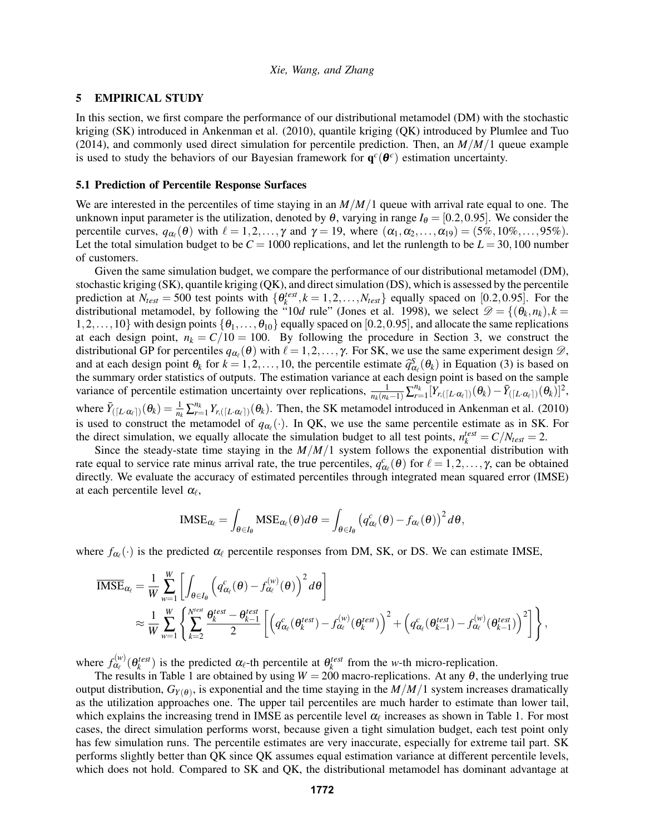### 5 EMPIRICAL STUDY

In this section, we first compare the performance of our distributional metamodel (DM) with the stochastic kriging (SK) introduced in Ankenman et al. (2010), quantile kriging (QK) introduced by Plumlee and Tuo (2014), and commonly used direct simulation for percentile prediction. Then, an  $M/M/1$  queue example is used to study the behaviors of our Bayesian framework for  $q^c(\theta^c)$  estimation uncertainty.

#### 5.1 Prediction of Percentile Response Surfaces

We are interested in the percentiles of time staying in an *M*/*M*/1 queue with arrival rate equal to one. The unknown input parameter is the utilization, denoted by  $\theta$ , varying in range  $I_{\theta} = [0.2, 0.95]$ . We consider the percentile curves,  $q_{\alpha_i}(\theta)$  with  $\ell = 1, 2, ..., \gamma$  and  $\gamma = 19$ , where  $(\alpha_1, \alpha_2, ..., \alpha_{19}) = (5\%, 10\%, ..., 95\%).$ Let the total simulation budget to be  $C = 1000$  replications, and let the runlength to be  $L = 30,100$  number of customers.

Given the same simulation budget, we compare the performance of our distributional metamodel (DM), stochastic kriging (SK), quantile kriging (QK), and direct simulation (DS), which is assessed by the percentile prediction at  $N_{test} = 500$  test points with  $\{\theta_k^{test}, k = 1, 2, ..., N_{test}\}\$ equally spaced on [0.2,0.95]. For the distributional metamodel, by following the "10*d* rule" (Jones et al. 1998), we select  $\mathcal{D} = \{(\theta_k, n_k), k = 1, 2, ..., k\}$  $1,2,\ldots,10\}$  with design points  $\{\theta_1,\ldots,\theta_{10}\}$  equally spaced on [0.2,0.95], and allocate the same replications at each design point,  $n_k = C/10 = 100$ . By following the procedure in Section 3, we construct the distributional GP for percentiles  $q_{\alpha_\ell}(\theta)$  with  $\ell = 1, 2, ..., \gamma$ . For SK, we use the same experiment design  $\mathcal{D}$ , and at each design point  $\theta_k$  for  $k = 1, 2, ..., 10$ , the percentile estimate  $\hat{q}_{\alpha_\ell}^s(\theta_k)$  in Equation (3) is based on the sample the summary order statistics of outputs. The estimation variance at each design point is  $\mathcal{S}_{\alpha}^S(\theta_k)$  in Equation (3) is based on variance of percentile estimation uncertainty over replications,  $\frac{1}{n_k(n_k-1)} \sum_{r=1}^{n_k} [Y_{r,([L \cdot \alpha_\ell])}(\theta_k) - \bar{Y}_{([L \cdot \alpha_\ell])}(\theta_k)]^2$ , where  $\bar{Y}_{([L \cdot \alpha_\ell])}(\theta_k) = \frac{1}{n_k} \sum_{r=1}^{n_k} Y_{r,([L \cdot \alpha_\ell])}(\theta_k)$ . Then, the SK metamodel introduced in Ankenman et al. (2010) is used to construct the metamodel of  $q_{\alpha_{\ell}}(\cdot)$ . In QK, we use the same percentile estimate as in SK. For the direct simulation, we equally allocate the simulation budget to all test points,  $n_k^{test} = C/N_{test} = 2$ .

Since the steady-state time staying in the *M*/*M*/1 system follows the exponential distribution with rate equal to service rate minus arrival rate, the true percentiles,  $q_{\alpha_\ell}^c(\theta)$  for  $\ell = 1,2,\ldots,\gamma$ , can be obtained directly. We evaluate the accuracy of estimated percentiles through integrated mean squared error (IMSE) at each percentile level  $\alpha_{\ell}$ ,

$$
\mathrm{IMSE}_{\alpha_\ell} = \int_{\theta \in I_{\boldsymbol{\theta}}} \mathrm{MSE}_{\alpha_\ell}(\theta) d\theta = \int_{\theta \in I_{\boldsymbol{\theta}}} \left( q^c_{\alpha_\ell}(\theta) - f_{\alpha_\ell}(\theta) \right)^2 d\theta,
$$

where  $f_{\alpha_{\ell}}(\cdot)$  is the predicted  $\alpha_{\ell}$  percentile responses from DM, SK, or DS. We can estimate IMSE,

$$
\begin{split} \overline{\text{IMSE}}_{\alpha_{\ell}} &= \frac{1}{W} \sum_{w=1}^{W} \left[ \int_{\theta \in I_{\theta}} \left( q^c_{\alpha_{\ell}}(\theta) - f^{(w)}_{\alpha_{\ell}}(\theta) \right)^2 d\theta \right] \\ &\approx \frac{1}{W} \sum_{w=1}^{W} \left\{ \sum_{k=2}^{N^{test}} \frac{\theta_{k}^{test} - \theta_{k-1}^{test}}{2} \left[ \left( q^c_{\alpha_{\ell}}(\theta_{k}^{test}) - f^{(w)}_{\alpha_{\ell}}(\theta_{k}^{test}) \right)^2 + \left( q^c_{\alpha_{\ell}}(\theta_{k-1}^{test}) - f^{(w)}_{\alpha_{\ell}}(\theta_{k-1}^{test}) \right)^2 \right] \right\}, \end{split}
$$

where  $f_{\alpha}^{(w)}$  $\alpha_{\ell}^{(w)}(\theta_k^{test})$  is the predicted  $\alpha_{\ell}$ -th percentile at  $\theta_k^{test}$  from the *w*-th micro-replication.

The results in Table 1 are obtained by using  $W = 200$  macro-replications. At any  $\theta$ , the underlying true output distribution,  $G_{Y(\theta)}$ , is exponential and the time staying in the  $M/M/1$  system increases dramatically as the utilization approaches one. The upper tail percentiles are much harder to estimate than lower tail, which explains the increasing trend in IMSE as percentile level  $\alpha_\ell$  increases as shown in Table 1. For most cases, the direct simulation performs worst, because given a tight simulation budget, each test point only has few simulation runs. The percentile estimates are very inaccurate, especially for extreme tail part. SK performs slightly better than QK since QK assumes equal estimation variance at different percentile levels, which does not hold. Compared to SK and QK, the distributional metamodel has dominant advantage at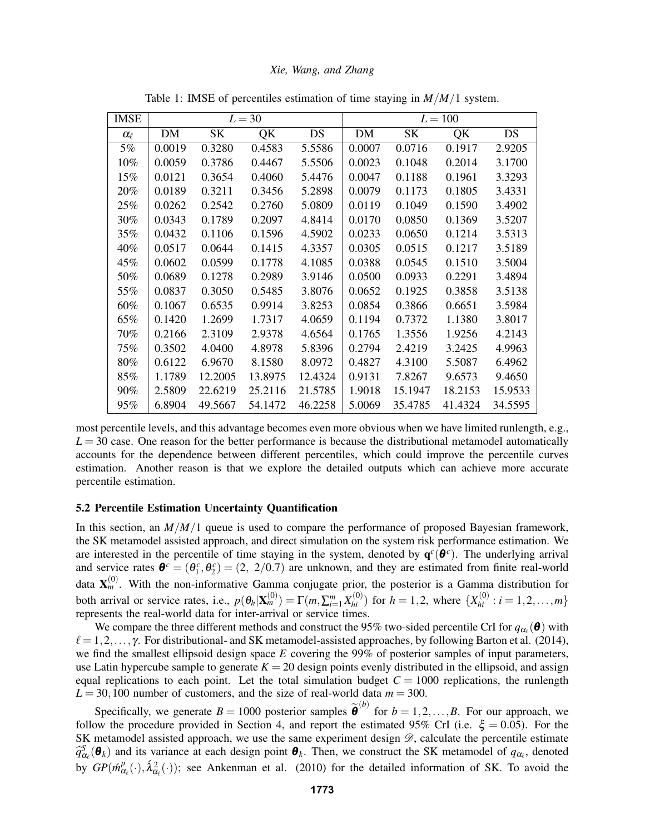| <b>IMSE</b>     |        |           | $L = 30$ |         | $L = 100$ |           |         |         |
|-----------------|--------|-----------|----------|---------|-----------|-----------|---------|---------|
| $\alpha_{\ell}$ | DM     | <b>SK</b> | QK       | DS      | DM        | <b>SK</b> | QK      | DS      |
| 5%              | 0.0019 | 0.3280    | 0.4583   | 5.5586  | 0.0007    | 0.0716    | 0.1917  | 2.9205  |
| 10%             | 0.0059 | 0.3786    | 0.4467   | 5.5506  | 0.0023    | 0.1048    | 0.2014  | 3.1700  |
| 15%             | 0.0121 | 0.3654    | 0.4060   | 5.4476  | 0.0047    | 0.1188    | 0.1961  | 3.3293  |
| 20%             | 0.0189 | 0.3211    | 0.3456   | 5.2898  | 0.0079    | 0.1173    | 0.1805  | 3.4331  |
| 25%             | 0.0262 | 0.2542    | 0.2760   | 5.0809  | 0.0119    | 0.1049    | 0.1590  | 3.4902  |
| 30%             | 0.0343 | 0.1789    | 0.2097   | 4.8414  | 0.0170    | 0.0850    | 0.1369  | 3.5207  |
| 35%             | 0.0432 | 0.1106    | 0.1596   | 4.5902  | 0.0233    | 0.0650    | 0.1214  | 3.5313  |
| 40%             | 0.0517 | 0.0644    | 0.1415   | 4.3357  | 0.0305    | 0.0515    | 0.1217  | 3.5189  |
| 45%             | 0.0602 | 0.0599    | 0.1778   | 4.1085  | 0.0388    | 0.0545    | 0.1510  | 3.5004  |
| 50%             | 0.0689 | 0.1278    | 0.2989   | 3.9146  | 0.0500    | 0.0933    | 0.2291  | 3.4894  |
| 55%             | 0.0837 | 0.3050    | 0.5485   | 3.8076  | 0.0652    | 0.1925    | 0.3858  | 3.5138  |
| 60%             | 0.1067 | 0.6535    | 0.9914   | 3.8253  | 0.0854    | 0.3866    | 0.6651  | 3.5984  |
| 65%             | 0.1420 | 1.2699    | 1.7317   | 4.0659  | 0.1194    | 0.7372    | 1.1380  | 3.8017  |
| 70%             | 0.2166 | 2.3109    | 2.9378   | 4.6564  | 0.1765    | 1.3556    | 1.9256  | 4.2143  |
| 75%             | 0.3502 | 4.0400    | 4.8978   | 5.8396  | 0.2794    | 2.4219    | 3.2425  | 4.9963  |
| 80%             | 0.6122 | 6.9670    | 8.1580   | 8.0972  | 0.4827    | 4.3100    | 5.5087  | 6.4962  |
| 85%             | 1.1789 | 12.2005   | 13.8975  | 12.4324 | 0.9131    | 7.8267    | 9.6573  | 9.4650  |
| 90%             | 2.5809 | 22.6219   | 25.2116  | 21.5785 | 1.9018    | 15.1947   | 18.2153 | 15.9533 |
| 95%             | 6.8904 | 49.5667   | 54.1472  | 46.2258 | 5.0069    | 35.4785   | 41.4324 | 34.5595 |

Table 1: IMSE of percentiles estimation of time staying in *M*/*M*/1 system.

most percentile levels, and this advantage becomes even more obvious when we have limited runlength, e.g.,  $L = 30$  case. One reason for the better performance is because the distributional metamodel automatically accounts for the dependence between different percentiles, which could improve the percentile curves estimation. Another reason is that we explore the detailed outputs which can achieve more accurate percentile estimation.

#### 5.2 Percentile Estimation Uncertainty Quantification

In this section, an *M*/*M*/1 queue is used to compare the performance of proposed Bayesian framework, the SK metamodel assisted approach, and direct simulation on the system risk performance estimation. We are interested in the percentile of time staying in the system, denoted by  $q^c(\theta^c)$ . The underlying arrival and service rates  $\boldsymbol{\theta}^c = (\theta_1^c, \theta_2^c) = (2, 2/0.7)$  are unknown, and they are estimated from finite real-world data  $\mathbf{X}_m^{(0)}$ . With the non-informative Gamma conjugate prior, the posterior is a Gamma distribution for both arrival or service rates, i.e.,  $p(\theta_h | \mathbf{X}_m^{(0)}) = \Gamma(m, \sum_{i=1}^m X_{hi}^{(0)})$  for  $h = 1, 2$ , where  $\{X_{hi}^{(0)} : i = 1, 2, ..., m\}$ represents the real-world data for inter-arrival or service times.

We compare the three different methods and construct the 95% two-sided percentile CrI for  $q_{\alpha_\ell}(\theta)$  with  $\ell = 1,2,\ldots, \gamma$ . For distributional- and SK metamodel-assisted approaches, by following Barton et al. (2014), we find the smallest ellipsoid design space *E* covering the 99% of posterior samples of input parameters, use Latin hypercube sample to generate  $K = 20$  design points evenly distributed in the ellipsoid, and assign equal replications to each point. Let the total simulation budget  $C = 1000$  replications, the runlength  $L = 30,100$  number of customers, and the size of real-world data  $m = 300$ .

Specifically, we generate  $B = 1000$  posterior samples  $\tilde{\boldsymbol{\theta}}^{(b)}$  for  $b = 1, 2, ..., B$ . For our approach, we follow the procedure provided in Section 4, and report the estimated 95% CrI (i.e.  $\xi = 0.05$ ). For the SK metamodel assisted approach, we use the same experiment design  $\mathscr{D}$ , calculate the percentile estimate  $\hat{q}_{\alpha_{\ell}}^S(\theta_k)$  and its variance at each design point  $\theta_k$ . Then, we construct the SK metamodel of  $q_{\alpha_{\ell}}$ , denoted by  $GP(\hat{m}_{\alpha}^p)$  $a_{\ell}^{p}(\cdot), \hat{\lambda}_{\alpha_{\ell}}^{2}(\cdot)$ ; see Ankenman et al. (2010) for the detailed information of SK. To avoid the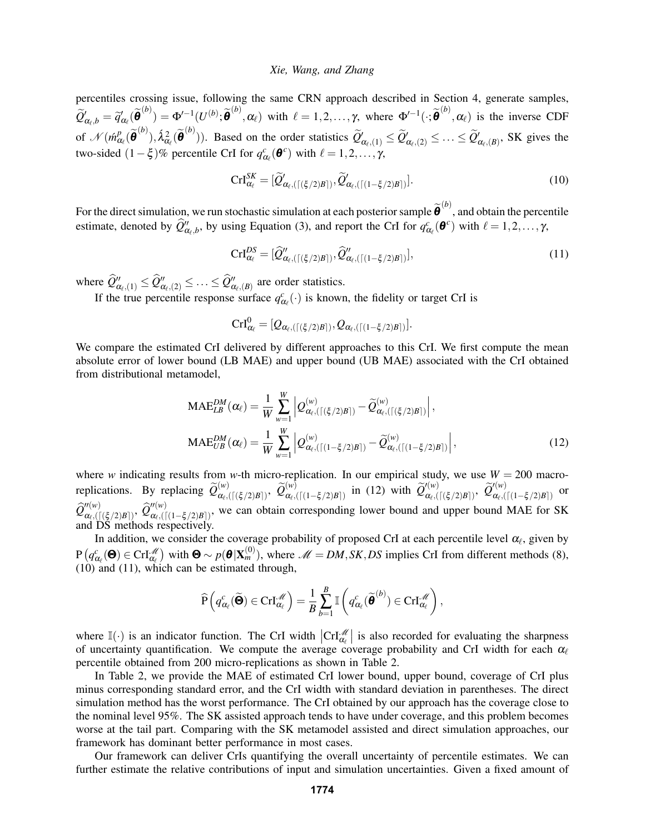percentiles crossing issue, following the same CRN approach described in Section 4, generate samples,  $\widetilde{Q}'_{\alpha_{\ell},b} = \widetilde{q}'_{\alpha_{\ell}}(\widetilde{\theta}^{(b)}) = \Phi'^{-1}(U^{(b)}; \widetilde{\theta}^{(b)}, \alpha_{\ell})$  with  $\ell = 1, 2, ..., \gamma$ , where  $\Phi'^{-1}(\cdot; \widetilde{\theta}^{(b)}, \alpha_{\ell})$  is the inverse CDF of  $\mathcal{N}(\hat{m}_{\alpha}^{p})$  $R^p_{\alpha_\ell}(\widetilde{\boldsymbol{\theta}}^{(b)}), \hat{\lambda}^2_{\alpha_\ell}(\widetilde{\boldsymbol{\theta}}^{(b)}))$ . Based on the order statistics  $\widetilde{Q}'_{\alpha_\ell,(1)} \leq \widetilde{Q}'_{\alpha_\ell,(2)} \leq \ldots \leq \widetilde{Q}'_{\alpha_\ell,(B)}$ , SK gives the two-sided  $(1 - \xi)\%$  percentile CrI for  $q_{\alpha_\ell}^c(\boldsymbol{\theta}^c)$  with  $\ell = 1, 2, ..., \gamma$ ,

$$
\operatorname{CrI}_{\alpha_{\ell}}^{SK} = [\widetilde{Q}'_{\alpha_{\ell},(\lceil (\xi/2)B \rceil)}, \widetilde{Q}'_{\alpha_{\ell},(\lceil (1-\xi/2)B \rceil)}]. \tag{10}
$$

For the direct simulation, we run stochastic simulation at each posterior sample  $\tilde{\theta}^{(b)}$ , and obtain the percentile estimate, denoted by  $\hat{Q}''_{\alpha_{\ell},b}$ , by using Equation (3), and report the CrI for  $q^c_{\alpha_{\ell}}(\boldsymbol{\theta}^c)$  with  $\ell = 1,2,\ldots,\gamma$ ,

$$
\operatorname{CrI}_{\alpha_{\ell}}^{DS} = [\widehat{Q}''_{\alpha_{\ell},(\lceil (\xi/2)B \rceil)}, \widehat{Q}''_{\alpha_{\ell},(\lceil (1-\xi/2)B \rceil)}], \tag{11}
$$

where  $\widehat{Q}''_{\alpha_{\ell},(1)} \leq \widehat{Q}''_{\alpha_{\ell},(2)} \leq \ldots \leq \widehat{Q}''_{\alpha_{\ell},(B)}$  are order statistics.

If the true percentile response surface  $q_{\alpha_{\ell}}^c(\cdot)$  is known, the fidelity or target CrI is

$$
\textrm{Crl}_{\alpha_\ell}^0=[\mathcal{Q}_{\alpha_\ell,(\lceil(\xi/2)B\rceil)},\mathcal{Q}_{\alpha_\ell,(\lceil(1-\xi/2)B\rceil)}].
$$

We compare the estimated CrI delivered by different approaches to this CrI. We first compute the mean absolute error of lower bound (LB MAE) and upper bound (UB MAE) associated with the CrI obtained from distributional metamodel,

$$
\text{MAE}_{LB}^{DM}(\alpha_{\ell}) = \frac{1}{W} \sum_{w=1}^{W} \left| Q_{\alpha_{\ell},(\lceil (\xi/2)B \rceil)}^{(w)} - \widetilde{Q}_{\alpha_{\ell},(\lceil (\xi/2)B \rceil)}^{(w)} \right|,
$$
\n
$$
\text{MAE}_{UB}^{DM}(\alpha_{\ell}) = \frac{1}{W} \sum_{w=1}^{W} \left| Q_{\alpha_{\ell},(\lceil (1-\xi/2)B \rceil)}^{(w)} - \widetilde{Q}_{\alpha_{\ell},(\lceil (1-\xi/2)B \rceil)}^{(w)} \right|,
$$
\n
$$
(12)
$$

where *w* indicating results from *w*-th micro-replication. In our empirical study, we use  $W = 200$  macroreplications. By replacing  $\widetilde{Q}_{\alpha_{\ell},\ell}^{(w)}$  $\widetilde{\alpha}_{\ell},(\lceil(\xi/2)B\rceil)$ ,  $\widetilde{{\cal Q}}_{\alpha_{\ell},(0)}^{(w)}$  $\alpha_{\ell, ([(1-\xi/2)B])}^{(w)}$  in (12) with  $\widetilde{Q}'^{(w)}_{\alpha_{\ell, (w)}}$  $\widetilde{\varrho}_{\alpha_\ell, ( \lceil (\xi/2) B \rceil )}^{\prime(w)}, \ \widetilde{\mathcal{Q}}_{\alpha_\ell, ( \prime)}^{\prime(w)}$  $\alpha_{\ell}, (\lceil (1-\xi/2)B \rceil)$  or  $\widehat {\mathcal Q}^{\prime\prime(w)}_{\alpha_\ell, (}$  $\hat{\omega}^{ \prime\prime (w)}_{\alpha_\ell, ( \lceil (\frac{\mathcal{E}}{2} / 2) B \rceil )}, \ \widehat{\mathcal{Q}}_{\alpha_\ell, ( \lceil \frac{\mathcal{W}}{2} \rceil )}^{ \prime\prime (w)}$  $\alpha_{\ell}^{(w)}$ ,([(1–ξ/2)*B*]), we can obtain corresponding lower bound and upper bound MAE for SK and DS methods respectively.

In addition, we consider the coverage probability of proposed CrI at each percentile level  $\alpha_{\ell}$ , given by  $P\left(q^c_{\alpha_\ell}(\mathbf{\Theta}) \in \mathrm{CrI}_{\alpha_\ell}^{\mathscr{M}}\right)$  with  $\mathbf{\Theta} \sim p(\mathbf{\Theta}|\mathbf{X}_m^{(0)}),$  where  $\mathscr{M} = DM, SK, DS$  implies CrI from different methods (8), (10) and (11), which can be estimated through,

$$
\widehat{\mathrm{P}}\left(q_{\alpha_{\ell}}^{c}(\widetilde{\boldsymbol{\Theta}})\in\mathrm{Crl}_{\alpha_{\ell}}^{\mathscr{M}}\right)=\frac{1}{B}\sum_{b=1}^{B}\mathbb{I}\left(q_{\alpha_{\ell}}^{c}(\widetilde{\boldsymbol{\theta}}^{(b)})\in\mathrm{Crl}_{\alpha_{\ell}}^{\mathscr{M}}\right),
$$

where  $\mathbb{I}(\cdot)$  is an indicator function. The CrI width  $| \text{CrI}_{\alpha_\ell}^{\mathcal{M}} |$  is also recorded for evaluating the sharpness of uncertainty quantification. We compute the average coverage probability and CrI width for each  $\alpha_\ell$ percentile obtained from 200 micro-replications as shown in Table 2.

In Table 2, we provide the MAE of estimated CrI lower bound, upper bound, coverage of CrI plus minus corresponding standard error, and the CrI width with standard deviation in parentheses. The direct simulation method has the worst performance. The CrI obtained by our approach has the coverage close to the nominal level 95%. The SK assisted approach tends to have under coverage, and this problem becomes worse at the tail part. Comparing with the SK metamodel assisted and direct simulation approaches, our framework has dominant better performance in most cases.

Our framework can deliver CrIs quantifying the overall uncertainty of percentile estimates. We can further estimate the relative contributions of input and simulation uncertainties. Given a fixed amount of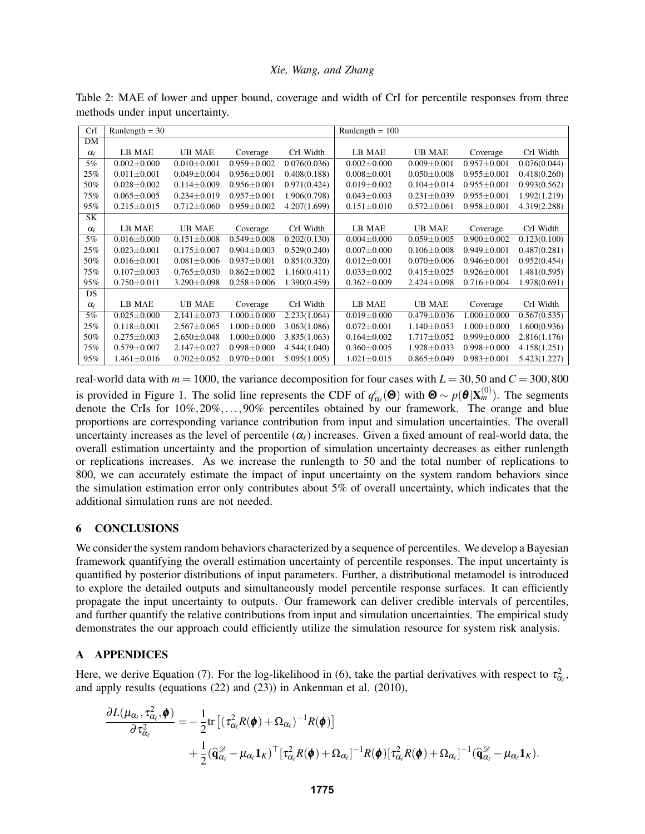| <b>CrI</b>      | Runlength = $30$  |                   |                   |              | Runlength $= 100$ |                   |                   |              |
|-----------------|-------------------|-------------------|-------------------|--------------|-------------------|-------------------|-------------------|--------------|
| DM              |                   |                   |                   |              |                   |                   |                   |              |
| $\alpha_{\ell}$ | LB MAE            | <b>UB MAE</b>     | Coverage          | CrI Width    | LB MAE            | <b>UB MAE</b>     | Coverage          | CrI Width    |
| 5%              | $0.002 \pm 0.000$ | $0.010 \pm 0.001$ | $0.959 \pm 0.002$ | 0.076(0.036) | $0.002 \pm 0.000$ | $0.009 \pm 0.001$ | $0.957 \pm 0.001$ | 0.076(0.044) |
| 25%             | $0.011 \pm 0.001$ | $0.049 \pm 0.004$ | $0.956 \pm 0.001$ | 0.408(0.188) | $0.008 \pm 0.001$ | $0.050 \pm 0.008$ | $0.955 \pm 0.001$ | 0.418(0.260) |
| 50%             | $0.028 \pm 0.002$ | $0.114 \pm 0.009$ | $0.956 \pm 0.001$ | 0.971(0.424) | $0.019 \pm 0.002$ | $0.104 \pm 0.014$ | $0.955 \pm 0.001$ | 0.993(0.562) |
| 75%             | $0.065 \pm 0.005$ | $0.234 \pm 0.019$ | $0.957 \pm 0.001$ | 1.906(0.798) | $0.043 \pm 0.003$ | $0.231 \pm 0.039$ | $0.955 \pm 0.001$ | 1.992(1.219) |
| 95%             | $0.215 \pm 0.015$ | $0.712 \pm 0.060$ | $0.959 \pm 0.002$ | 4.207(1.699) | $0.151 \pm 0.010$ | $0.572 \pm 0.061$ | $0.958 + 0.001$   | 4.319(2.288) |
| SK              |                   |                   |                   |              |                   |                   |                   |              |
| $\alpha_{\ell}$ | LB MAE            | <b>UB MAE</b>     | Coverage          | CrI Width    | LB MAE            | <b>UB MAE</b>     | Coverage          | CrI Width    |
| 5%              | $0.016 \pm 0.000$ | $0.151 \pm 0.008$ | $0.549 \pm 0.008$ | 0.202(0.130) | $0.004 \pm 0.000$ | $0.059 \pm 0.005$ | $0.900 + 0.002$   | 0.123(0.100) |
| 25%             | $0.023 \pm 0.001$ | $0.175 \pm 0.007$ | $0.904 \pm 0.003$ | 0.529(0.240) | $0.007 \pm 0.000$ | $0.106 \pm 0.008$ | $0.949 \pm 0.001$ | 0.487(0.281) |
| 50%             | $0.016 \pm 0.001$ | $0.081 \pm 0.006$ | $0.937 \pm 0.001$ | 0.851(0.320) | $0.012 \pm 0.001$ | $0.070 \pm 0.006$ | $0.946 \pm 0.001$ | 0.952(0.454) |
| 75%             | $0.107 + 0.003$   | $0.765 \pm 0.030$ | $0.862 \pm 0.002$ | 1.160(0.411) | $0.033 \pm 0.002$ | $0.415 \pm 0.025$ | $0.926 \pm 0.001$ | 1.481(0.595) |
| 95%             | $0.750 \pm 0.011$ | $3.290 \pm 0.098$ | $0.258 \pm 0.006$ | 1.390(0.459) | $0.362 \pm 0.009$ | $2.424 \pm 0.098$ | $0.716 \pm 0.004$ | 1.978(0.691) |
| <b>DS</b>       |                   |                   |                   |              |                   |                   |                   |              |
| $\alpha_{\ell}$ | LB MAE            | <b>UB MAE</b>     | Coverage          | CrI Width    | LB MAE            | <b>UB MAE</b>     | Coverage          | CrI Width    |
| 5%              | $0.025 \pm 0.000$ | $2.141 \pm 0.073$ | $1.000 \pm 0.000$ | 2.233(1.064) | $0.019 \pm 0.000$ | $0.479 \pm 0.036$ | $1.000 \pm 0.000$ | 0.567(0.535) |
| 25%             | $0.118 \pm 0.001$ | $2.567 \pm 0.065$ | $1.000 \pm 0.000$ | 3.063(1.086) | $0.072 \pm 0.001$ | $1.140 \pm 0.053$ | $1.000 \pm 0.000$ | 1.600(0.936) |
| 50%             | $0.275 \pm 0.003$ | $2.650 \pm 0.048$ | $1.000 \pm 0.000$ | 3.835(1.063) | $0.164 \pm 0.002$ | $1.717 \pm 0.052$ | $0.999 \pm 0.000$ | 2.816(1.176) |
| 75%             | $0.579 \pm 0.007$ | $2.147 \pm 0.027$ | $0.998 \pm 0.000$ | 4.544(1.040) | $0.360 \pm 0.005$ | $1.928 \pm 0.033$ | $0.998 \pm 0.000$ | 4.158(1.251) |
| 95%             | $1.461 \pm 0.016$ | $0.702 \pm 0.052$ | $0.970 \pm 0.001$ | 5.095(1.005) | $1.021 \pm 0.015$ | $0.865 \pm 0.049$ | $0.983 \pm 0.001$ | 5.423(1.227) |

Table 2: MAE of lower and upper bound, coverage and width of CrI for percentile responses from three methods under input uncertainty.

real-world data with  $m = 1000$ , the variance decomposition for four cases with  $L = 30,50$  and  $C = 300,800$ is provided in Figure 1. The solid line represents the CDF of  $q_{\alpha_\ell}^c(\mathbf{\Theta})$  with  $\mathbf{\Theta} \sim p(\mathbf{\Theta}|\mathbf{X}_m^{(0)})$ . The segments denote the CrIs for 10%,20%,...,90% percentiles obtained by our framework. The orange and blue proportions are corresponding variance contribution from input and simulation uncertainties. The overall uncertainty increases as the level of percentile  $(\alpha_\ell)$  increases. Given a fixed amount of real-world data, the overall estimation uncertainty and the proportion of simulation uncertainty decreases as either runlength or replications increases. As we increase the runlength to 50 and the total number of replications to 800, we can accurately estimate the impact of input uncertainty on the system random behaviors since the simulation estimation error only contributes about 5% of overall uncertainty, which indicates that the additional simulation runs are not needed.

## 6 CONCLUSIONS

We consider the system random behaviors characterized by a sequence of percentiles. We develop a Bayesian framework quantifying the overall estimation uncertainty of percentile responses. The input uncertainty is quantified by posterior distributions of input parameters. Further, a distributional metamodel is introduced to explore the detailed outputs and simultaneously model percentile response surfaces. It can efficiently propagate the input uncertainty to outputs. Our framework can deliver credible intervals of percentiles, and further quantify the relative contributions from input and simulation uncertainties. The empirical study demonstrates the our approach could efficiently utilize the simulation resource for system risk analysis.

# A APPENDICES

Here, we derive Equation (7). For the log-likelihood in (6), take the partial derivatives with respect to  $\tau_{\alpha_\ell}^2$ , and apply results (equations (22) and (23)) in Ankenman et al. (2010),

$$
\frac{\partial L(\mu_{\alpha_{\ell}}, \tau_{\alpha_{\ell}}^2, \pmb{\phi})}{\partial \tau_{\alpha_{\ell}}^2} = -\frac{1}{2} \text{tr} \left[ (\tau_{\alpha_{\ell}}^2 R(\pmb{\phi}) + \Omega_{\alpha_{\ell}})^{-1} R(\pmb{\phi}) \right] \n+ \frac{1}{2} (\widehat{\mathbf{q}}_{\alpha_{\ell}}^{\mathscr{D}} - \mu_{\alpha_{\ell}} \mathbf{1}_K)^{\top} [\tau_{\alpha_{\ell}}^2 R(\pmb{\phi}) + \Omega_{\alpha_{\ell}}]^{-1} R(\pmb{\phi}) [\tau_{\alpha_{\ell}}^2 R(\pmb{\phi}) + \Omega_{\alpha_{\ell}}]^{-1} (\widehat{\mathbf{q}}_{\alpha_{\ell}}^{\mathscr{D}} - \mu_{\alpha_{\ell}} \mathbf{1}_K).
$$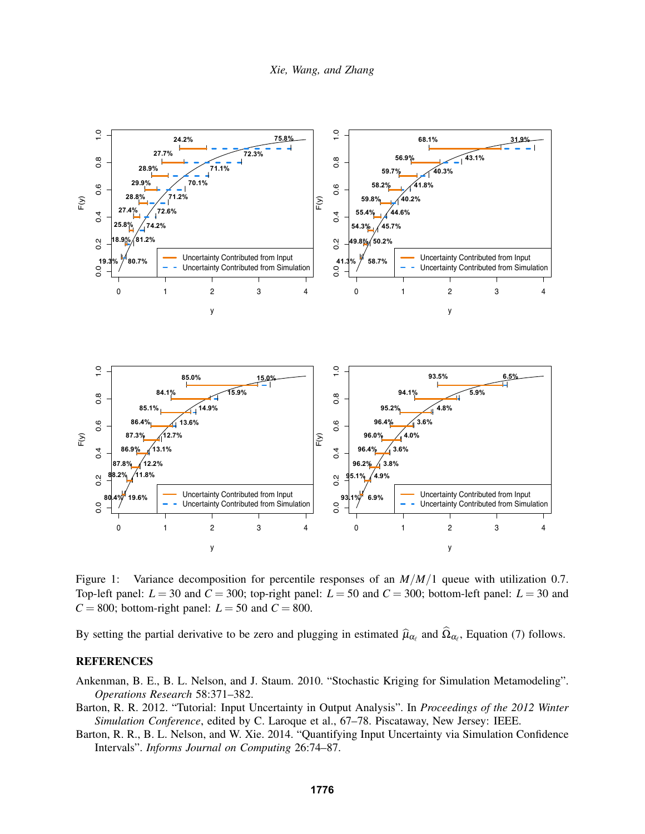

Figure 1: Variance decomposition for percentile responses of an  $M/M/1$  queue with utilization 0.7. Top-left panel:  $L = 30$  and  $C = 300$ ; top-right panel:  $L = 50$  and  $C = 300$ ; bottom-left panel:  $L = 30$  and  $C = 800$ ; bottom-right panel:  $L = 50$  and  $C = 800$ .

By setting the partial derivative to be zero and plugging in estimated  $\hat{\mu}_{\alpha_\ell}$  and  $\Omega_{\alpha_\ell}$ , Equation (7) follows.

## **REFERENCES**

Ankenman, B. E., B. L. Nelson, and J. Staum. 2010. "Stochastic Kriging for Simulation Metamodeling". *Operations Research* 58:371–382.

- Barton, R. R. 2012. "Tutorial: Input Uncertainty in Output Analysis". In *Proceedings of the 2012 Winter Simulation Conference*, edited by C. Laroque et al., 67–78. Piscataway, New Jersey: IEEE.
- Barton, R. R., B. L. Nelson, and W. Xie. 2014. "Quantifying Input Uncertainty via Simulation Confidence Intervals". *Informs Journal on Computing* 26:74–87.